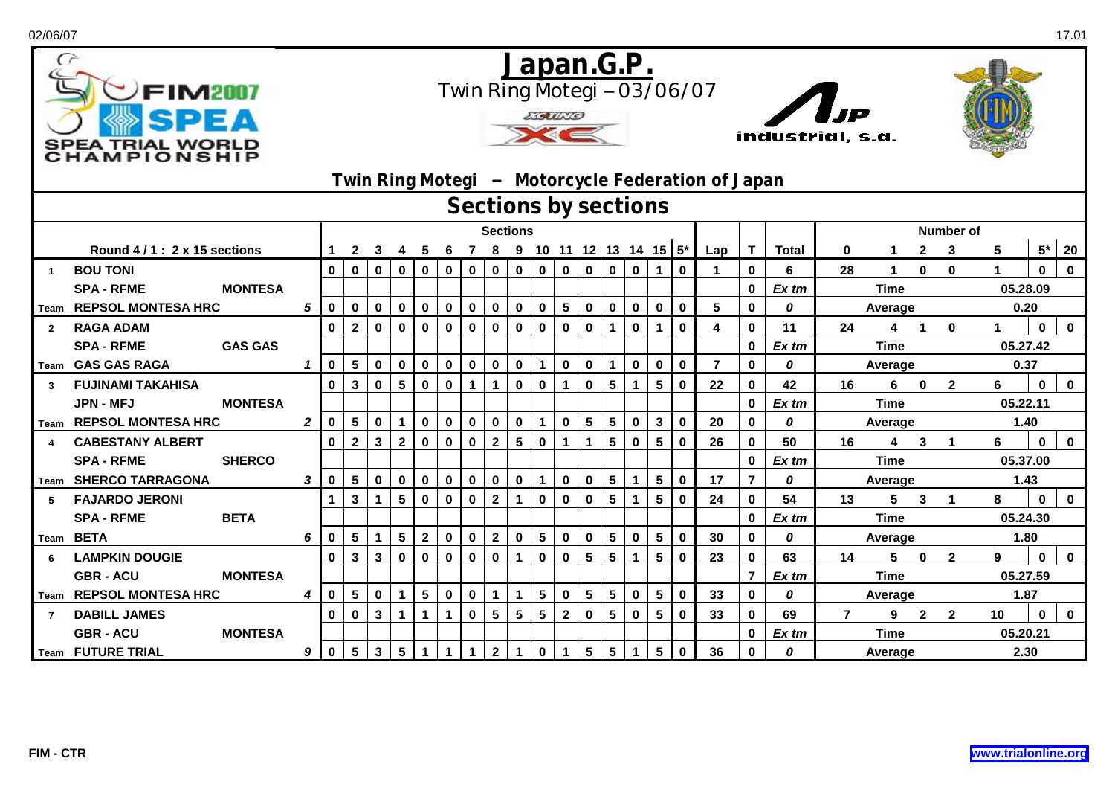| 02/06/07                |                                                               |                |                                                                                                                                                  |                 |              |                 |                 |                 |             |                |                 |                 |                 |                         |                         |              |                         |                            |                |                              |               |                        |              |                      |                         |                  |             | 17.01       |  |  |
|-------------------------|---------------------------------------------------------------|----------------|--------------------------------------------------------------------------------------------------------------------------------------------------|-----------------|--------------|-----------------|-----------------|-----------------|-------------|----------------|-----------------|-----------------|-----------------|-------------------------|-------------------------|--------------|-------------------------|----------------------------|----------------|------------------------------|---------------|------------------------|--------------|----------------------|-------------------------|------------------|-------------|-------------|--|--|
| $\sigma$                | <b>FIM2007</b><br>SPEA TRIAL WORLD<br><b>HAMPIONSHI</b>       |                | Japan.G.P.<br>Twin Ring Motegi -- 03/06/07<br> <br>IP<br><b>LIGULLO</b><br>industrial, s.a.<br>Twin Ring Motegi - Motorcycle Federation of Japan |                 |              |                 |                 |                 |             |                |                 |                 |                 |                         |                         |              |                         |                            |                |                              |               |                        |              |                      |                         |                  |             |             |  |  |
|                         | Sections by sections<br>Number of<br><b>Sections</b>          |                |                                                                                                                                                  |                 |              |                 |                 |                 |             |                |                 |                 |                 |                         |                         |              |                         |                            |                |                              |               |                        |              |                      |                         |                  |             |             |  |  |
|                         |                                                               |                |                                                                                                                                                  |                 |              |                 |                 |                 |             |                |                 |                 |                 |                         |                         |              |                         |                            |                |                              |               |                        |              |                      |                         |                  |             |             |  |  |
|                         | Round 4/1: 2 x 15 sections                                    |                | 1                                                                                                                                                | $\mathbf{2}$    | 3            | -4              | -5              | $6\overline{6}$ |             |                |                 |                 |                 |                         |                         |              |                         | 7 8 9 10 11 12 13 14 15 5* | Lap            | T.                           | <b>Total</b>  | 0                      | 1            | $\mathbf{2}$         | 3                       | 5                | $5*$        | 20          |  |  |
| $\overline{1}$          | <b>BOU TONI</b>                                               |                | $\mathbf 0$                                                                                                                                      | $\mathbf 0$     | $\mathbf 0$  | $\bf{0}$        | $\mathbf 0$     | $\mathbf 0$     | $\mathbf 0$ | $\mathbf 0$    | $\mathbf 0$     | $\mathbf 0$     | $\mathbf 0$     | $\mathbf 0$             | $\mathbf 0$             | $\mathbf 0$  | $\mathbf 1$             | $\bf{0}$                   |                | $\mathbf 0$                  | 6             | 28                     | $\mathbf 1$  | $\mathbf{0}$         | $\mathbf{0}$            |                  | $\bf{0}$    | $\bf{0}$    |  |  |
|                         | <b>MONTESA</b><br><b>SPA - RFME</b>                           |                |                                                                                                                                                  |                 |              |                 |                 |                 |             |                |                 |                 |                 |                         |                         |              |                         |                            |                | 0                            | Ex tm         |                        | <b>Time</b>  |                      |                         | 05.28.09<br>0.20 |             |             |  |  |
|                         | Team REPSOL MONTESA HRC                                       | 5              | $\mathbf 0$                                                                                                                                      | $\mathbf 0$     | $\mathbf 0$  | $\mathbf 0$     | $\mathbf 0$     | $\mathbf 0$     | $\mathbf 0$ | $\mathbf 0$    | $\mathbf 0$     | $\mathbf 0$     | $5\phantom{.0}$ | $\mathbf 0$             | $\mathbf 0$             | $\mathbf 0$  | $\mathbf 0$             | $\mathbf 0$                | 5              | $\mathbf{0}$                 | 0             |                        | Average      |                      |                         |                  |             |             |  |  |
| $\overline{2}$          | <b>RAGA ADAM</b>                                              |                | $\mathbf 0$                                                                                                                                      | $\overline{2}$  | $\mathbf 0$  | $\mathbf 0$     | $\mathbf 0$     | $\mathbf 0$     | $\mathbf 0$ | $\mathbf 0$    | $\mathbf 0$     | $\mathbf 0$     | $\mathbf 0$     | $\mathbf 0$             | $\blacktriangleleft$    | $\mathbf 0$  | 1                       | $\mathbf 0$                | 4              | 0                            | 11            | 24                     | 4            | $\blacktriangleleft$ | $\mathbf{0}$            | 1.               | $\Omega$    | $\mathbf 0$ |  |  |
|                         | <b>SPA - RFME</b><br><b>GAS GAS</b>                           |                |                                                                                                                                                  |                 |              |                 |                 |                 |             |                |                 |                 |                 |                         |                         |              |                         |                            |                | 0                            | $Ex$ tm       |                        | <b>Time</b>  |                      | 05.27.42                |                  |             |             |  |  |
|                         | Team GAS GAS RAGA                                             | $\mathbf{1}$   | $\mathbf 0$                                                                                                                                      | 5 <sub>5</sub>  | $\mathbf 0$  | $\mathbf 0$     | $\mathbf 0$     | $\mathbf 0$     | $\mathbf 0$ | $\mathbf 0$    | $\mathbf 0$     | $\mathbf{1}$    | $\mathbf 0$     | $\mathbf 0$             | $\mathbf{1}$            | $\mathbf{0}$ | $\bf{0}$                | $\mathbf{0}$               | $\overline{7}$ | $\mathbf{0}$                 | 0             |                        | Average      |                      |                         | 0.37             |             |             |  |  |
| $\overline{\mathbf{3}}$ | <b>FUJINAMI TAKAHISA</b>                                      |                | $\mathbf{0}$                                                                                                                                     | $\mathbf{3}$    | $\mathbf 0$  | $5\phantom{.0}$ | $\mathbf 0$     | $\mathbf 0$     | $\mathbf 1$ | $\mathbf{1}$   | $\mathbf 0$     | $\mathbf 0$     | $\mathbf 1$     | $\mathbf 0$             | $5\phantom{a}$          | $\mathbf{1}$ | $5\phantom{a}$          | $\mathbf 0$                | 22             | $\mathbf{0}$                 | 42            | 16                     | 6            | $\mathbf 0$          | $\overline{2}$          | 6                | $\mathbf 0$ | $\pmb{0}$   |  |  |
|                         | <b>JPN - MFJ</b><br><b>MONTESA</b>                            |                |                                                                                                                                                  |                 |              |                 |                 |                 |             |                |                 |                 |                 |                         |                         |              |                         |                            |                | 0                            | Ex tm         |                        | <b>Time</b>  |                      | 05.22.11<br>1.40        |                  |             |             |  |  |
|                         | Team REPSOL MONTESA HRC                                       | $\overline{2}$ | $\mathbf 0$                                                                                                                                      | $5\phantom{.0}$ | $\mathbf 0$  | $\mathbf{1}$    | $\mathbf 0$     | $\bf{0}$        | $\mathbf 0$ | $\pmb{0}$      | $\pmb{0}$       | $\mathbf{1}$    | $\mathbf 0$     | $\overline{\mathbf{5}}$ | $5\phantom{.0}$         | $\mathbf 0$  | $\mathbf{3}$            | $\mathbf{0}$               | 20             | $\mathbf{0}$                 | 0             |                        | Average      |                      |                         |                  |             |             |  |  |
|                         | <b>CABESTANY ALBERT</b><br><b>SPA - RFME</b><br><b>SHERCO</b> |                | $\mathbf{0}$                                                                                                                                     | $\overline{2}$  | $\mathbf{3}$ | $\overline{2}$  | $\mathbf 0$     | $\mathbf 0$     | $\mathbf 0$ | $\overline{2}$ | $5\phantom{.0}$ | $\mathbf 0$     | $\mathbf 1$     | $\mathbf{1}$            | $5\phantom{1}$          | $\mathbf 0$  | 5                       | $\mathbf{0}$               | 26             | $\mathbf{0}$<br>$\mathbf{0}$ | 50<br>$Ex$ tm | 16                     | 4            | $\mathbf{3}$         | $\blacksquare$          | 6<br>05.37.00    | $\bf{0}$    | $\mathbf 0$ |  |  |
|                         | Team SHERCO TARRAGONA                                         | 3              | $\mathbf 0$                                                                                                                                      | 5 <sub>5</sub>  | $\mathbf 0$  | $\mathbf 0$     | $\mathbf 0$     | $\mathbf 0$     | $\mathbf 0$ | $\mathbf 0$    | $\mathbf 0$     | $\mathbf{1}$    | $\mathbf 0$     | $\pmb{0}$               | $5\phantom{.0}$         | $\mathbf{1}$ | $\overline{\mathbf{5}}$ | $\mathbf 0$                | 17             | $\overline{7}$               | 0             |                        | <b>Time</b>  |                      |                         | 1.43             |             |             |  |  |
| 5                       | <b>FAJARDO JERONI</b>                                         |                | $\mathbf{1}$                                                                                                                                     | $\mathbf{3}$    | $\mathbf{1}$ | 5               | $\bf{0}$        | $\bf{0}$        | $\mathbf 0$ | $\mathbf{2}$   | $\mathbf{1}$    | $\mathbf 0$     | $\bf{0}$        | $\bf{0}$                | $5\phantom{1}$          | $\mathbf{1}$ | 5                       | $\bf{0}$                   | 24             | $\mathbf{0}$                 | 54            | 13                     | Average<br>5 | $\mathbf{3}$         | $\overline{\mathbf{1}}$ | 8                | $\bf{0}$    | $\mathbf 0$ |  |  |
|                         | <b>SPA - RFME</b><br><b>BETA</b>                              |                |                                                                                                                                                  |                 |              |                 |                 |                 |             |                |                 |                 |                 |                         |                         |              |                         |                            |                | 0                            | Ex tm         |                        |              |                      |                         | 05.24.30         |             |             |  |  |
|                         | Team BETA                                                     | 6              | $\mathbf 0$                                                                                                                                      | $5\phantom{.0}$ | $\mathbf 1$  | $5\phantom{1}$  | $\mathbf{2}$    | $\mathbf 0$     | $\mathbf 0$ | $\mathbf{2}$   | $\mathbf 0$     | $5\phantom{.0}$ | $\mathbf 0$     | $\mathbf 0$             | $5\phantom{.0}$         | $\mathbf 0$  | 5                       | $\mathbf 0$                | 30             | $\mathbf{0}$                 | 0             | <b>Time</b><br>Average |              |                      |                         | 1.80             |             |             |  |  |
| 6                       | <b>LAMPKIN DOUGIE</b>                                         |                | $\mathbf 0$                                                                                                                                      | $\mathbf{3}$    | $\mathbf{3}$ | $\mathbf 0$     | $\mathbf 0$     | $\mathbf 0$     | $\mathbf 0$ | $\mathbf 0$    | $\mathbf{1}$    | $\mathbf 0$     | $\mathbf 0$     | 5                       | $5\phantom{1}$          | $\mathbf{1}$ | $5\phantom{.0}$         | $\mathbf{0}$               | 23             | 0                            | 63            | 14                     | 5            | $\mathbf 0$          | $\overline{2}$          | 9                | $\bf{0}$    | $\mathbf 0$ |  |  |
|                         | <b>MONTESA</b><br><b>GBR - ACU</b>                            |                |                                                                                                                                                  |                 |              |                 |                 |                 |             |                |                 |                 |                 |                         |                         |              |                         |                            |                | $\overline{7}$               | Ex tm         |                        | <b>Time</b>  |                      |                         | 05.27.59         |             |             |  |  |
|                         | Team REPSOL MONTESA HRC                                       | 4              | $\mathbf 0$                                                                                                                                      | 5 <sup>5</sup>  | $\mathbf 0$  | $\mathbf{1}$    | $5\phantom{.0}$ | $\mathbf 0$     | $\mathbf 0$ | $\mathbf{1}$   | $\mathbf 1$     | $5\phantom{.0}$ | $\mathbf 0$     | $5\phantom{.0}$         | $\overline{\mathbf{5}}$ | $\mathbf 0$  | 5                       | $\mathbf{0}$               | 33             | $\mathbf 0$                  | 0             |                        | Average      |                      |                         | 1.87             |             |             |  |  |
| $\overline{7}$          | <b>DABILL JAMES</b>                                           |                | 0                                                                                                                                                | $\mathbf 0$     | $\mathbf{3}$ | $\mathbf{1}$    | $\mathbf{1}$    | $\mathbf{1}$    | $\mathbf 0$ | $5\phantom{a}$ | 5               | $5\phantom{a}$  | $\mathbf{2}$    | $\mathbf 0$             | $5\phantom{.0}$         | $\mathbf 0$  | $5\phantom{a}$          | $\mathbf 0$                | 33             | 0                            | 69            | $\overline{7}$         | 9            | $\mathbf{2}$         | $\overline{2}$          | 10               | $\bf{0}$    | $\mathbf 0$ |  |  |
|                         | <b>GBR - ACU</b><br><b>MONTESA</b>                            |                |                                                                                                                                                  |                 |              |                 |                 |                 |             |                |                 |                 |                 |                         |                         |              |                         |                            |                | 0                            | Ex tm         |                        | <b>Time</b>  |                      |                         | 05.20.21         |             |             |  |  |
|                         | Team FUTURE TRIAL                                             | 9              | $\mathbf 0$                                                                                                                                      | $5\phantom{.0}$ | $\mathbf{3}$ | $5\phantom{1}$  | $\mathbf{1}$    |                 | $\mathbf 1$ | $\overline{2}$ |                 | $\mathbf 0$     | $\mathbf 1$     | $5\phantom{.0}$         | $5\phantom{.0}$         | $\mathbf 1$  | 5                       | $\bf{0}$                   | 36             | 0                            | 0             |                        | Average      |                      |                         | 2.30             |             |             |  |  |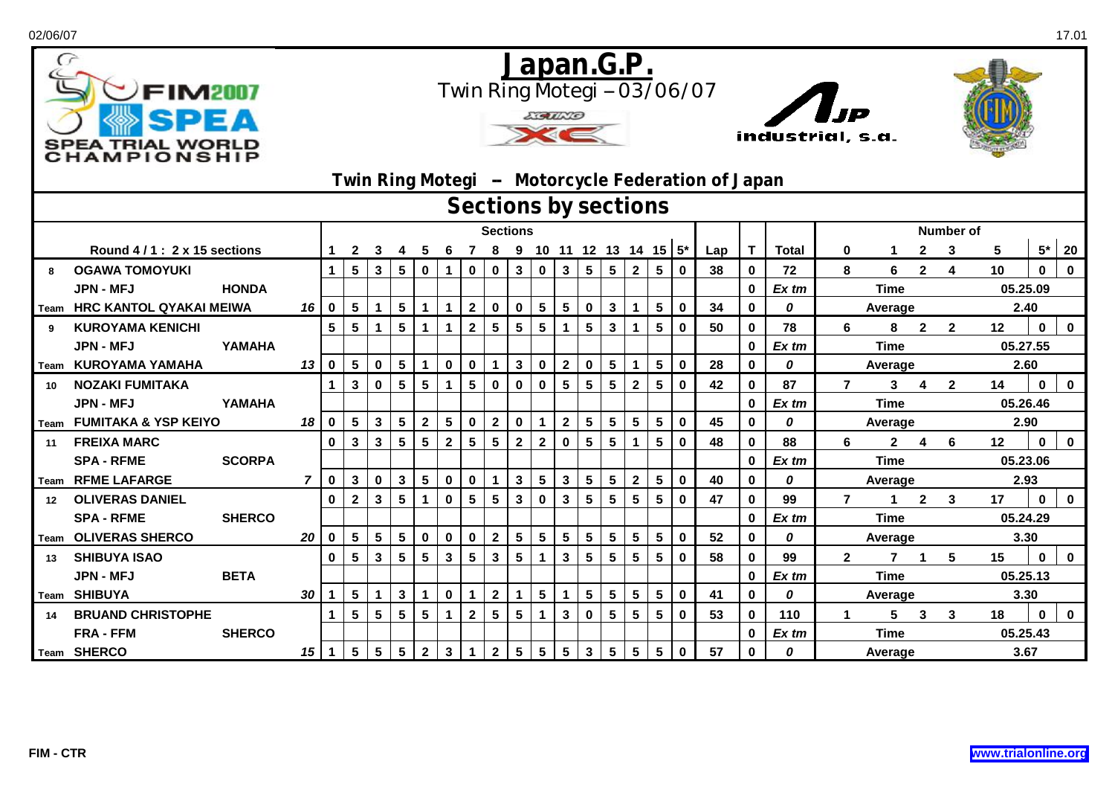| 02/06/07         |                                                               |               |                                                                                                                                                |                         |                                   |                 |                 |                 |              |                |                 |                 |                 |                         |                 |                         |                 |                         |                             |     |              |              |                |                        |                         |                |                |              | 17.01        |  |  |
|------------------|---------------------------------------------------------------|---------------|------------------------------------------------------------------------------------------------------------------------------------------------|-------------------------|-----------------------------------|-----------------|-----------------|-----------------|--------------|----------------|-----------------|-----------------|-----------------|-------------------------|-----------------|-------------------------|-----------------|-------------------------|-----------------------------|-----|--------------|--------------|----------------|------------------------|-------------------------|----------------|----------------|--------------|--------------|--|--|
| $\sigma$         | <b>FIM2007</b><br><b>SPEA TRIAL WORLD</b><br><b>HAMPIONSH</b> |               | Japan.G.P.<br>Twin Ring Motegi -- 03/06/07<br> <br>IP<br><b>EGUNO</b><br>industrial, s.a.<br>Twin Ring Motegi - Motorcycle Federation of Japan |                         |                                   |                 |                 |                 |              |                |                 |                 |                 |                         |                 |                         |                 |                         |                             |     |              |              |                |                        |                         |                |                |              |              |  |  |
|                  | Sections by sections<br><b>Number of</b>                      |               |                                                                                                                                                |                         |                                   |                 |                 |                 |              |                |                 |                 |                 |                         |                 |                         |                 |                         |                             |     |              |              |                |                        |                         |                |                |              |              |  |  |
|                  |                                                               |               | <b>Sections</b>                                                                                                                                |                         |                                   |                 |                 |                 |              |                |                 |                 |                 |                         |                 |                         |                 |                         |                             |     |              |              |                |                        |                         |                |                |              |              |  |  |
|                  | Round 4/1: 2 x 15 sections                                    |               |                                                                                                                                                | 1                       | $\mathbf{2}$                      | 3               | 4               | 5               | 6            | $\overline{7}$ |                 |                 |                 |                         |                 |                         |                 |                         | 8 9 10 11 12 13 14 15 $5^*$ | Lap | T            | <b>Total</b> | 0              | $\mathbf 1$            | $\mathbf{2}$            | 3              | 5              | $5*$         | 20           |  |  |
| 8                | <b>OGAWA TOMOYUKI</b>                                         |               |                                                                                                                                                | $\mathbf{1}$            | 5 <sup>5</sup>                    | $\mathbf{3}$    | $5\phantom{1}$  | $\mathbf 0$     | $\mathbf 1$  | $\mathbf 0$    | $\mathbf 0$     | $\mathbf{3}$    | $\mathbf 0$     | $\mathbf{3}$            | $5\phantom{.0}$ | $5\phantom{.0}$         | $\mathbf{2}$    | $5\phantom{.0}$         | $\mathbf 0$                 | 38  | 0            | 72           | 8              | 6                      | $\overline{2}$          | 4              | 10             | $\bf{0}$     | $\bf{0}$     |  |  |
|                  | JPN - MFJ                                                     | <b>HONDA</b>  |                                                                                                                                                |                         |                                   |                 |                 |                 |              |                |                 |                 |                 |                         |                 |                         |                 |                         |                             |     | 0            | Ex tm        |                | <b>Time</b>            |                         |                | 05.25.09       |              |              |  |  |
|                  | Team HRC KANTOL QYAKAI MEIWA                                  |               | 16                                                                                                                                             | $\overline{\mathbf{0}}$ | 5 <sup>5</sup>                    | $\mathbf 1$     | $5\phantom{1}$  | $\mathbf{1}$    | $\mathbf{1}$ | $\overline{2}$ | $\mathbf 0$     | $\mathbf 0$     | $5\phantom{.0}$ | $5\phantom{.0}$         | $\mathbf 0$     | $\mathbf{3}$            | $\mathbf{1}$    | $\overline{\mathbf{5}}$ | $\mathbf 0$                 | 34  | $\mathbf{0}$ | 0            |                | Average                |                         |                | 2.40           |              |              |  |  |
| 9                | <b>KUROYAMA KENICHI</b>                                       |               |                                                                                                                                                | $5\phantom{a}$          | $5\phantom{1}$                    | $\mathbf 1$     | $5\phantom{a}$  | $\mathbf{1}$    | $\mathbf 1$  | $\overline{2}$ | $5\phantom{.0}$ | $5\overline{)}$ | $5\phantom{1}$  | $\mathbf{1}$            | $5\phantom{a}$  | $\mathbf{3}$            | $\mathbf 1$     | $5\phantom{.0}$         | $\mathbf 0$                 | 50  | 0            | 78           | 6              | 8                      | $\mathbf{2}$            | $\mathbf{2}$   | 12             | $\bf{0}$     | $\mathbf 0$  |  |  |
|                  | JPN - MFJ                                                     | YAMAHA        |                                                                                                                                                |                         |                                   |                 |                 |                 |              |                |                 |                 |                 |                         |                 |                         |                 |                         |                             |     | 0            | $Ex$ tm      |                | <b>Time</b>            |                         |                | 05.27.55       |              |              |  |  |
|                  | Team KUROYAMA YAMAHA                                          |               | 13                                                                                                                                             | $\mathbf 0$             | $5\overline{)}$                   | $\mathbf 0$     | $5\phantom{1}$  | $\mathbf{1}$    | $\mathbf 0$  | $\mathbf 0$    | $\mathbf{1}$    | $\mathbf{3}$    | $\mathbf 0$     | $\mathbf{2}$            | $\mathbf 0$     | $\overline{\mathbf{5}}$ | $\mathbf{1}$    | 5                       | $\mathbf{0}$                | 28  | $\mathbf{0}$ | 0            |                | Average                |                         |                | 2.60           |              |              |  |  |
| 10               | <b>NOZAKI FUMITAKA</b>                                        |               |                                                                                                                                                | $\mathbf 1$             | $\mathbf{3}$                      | $\mathbf 0$     | $5\phantom{.0}$ | $5\phantom{a}$  |              | $5\phantom{1}$ | $\pmb{0}$       | $\mathbf 0$     | $\mathbf 0$     | $5\phantom{a}$          | $5\phantom{a}$  | $5\phantom{a}$          | $\overline{2}$  | $5\phantom{a}$          | $\mathbf 0$                 | 42  | $\mathbf 0$  | 87           | $\overline{7}$ | $\mathbf{3}$           | $\overline{\mathbf{4}}$ | $\overline{2}$ | 14             | $\mathbf{0}$ | $\mathbf 0$  |  |  |
|                  | <b>JPN - MFJ</b>                                              | YAMAHA        |                                                                                                                                                |                         |                                   |                 |                 |                 |              |                |                 |                 |                 |                         |                 |                         |                 |                         |                             |     | 0            | Ex tm        |                | <b>Time</b>            |                         | 05.26.46       |                |              |              |  |  |
|                  | Team FUMITAKA & YSP KEIYO                                     |               | 18                                                                                                                                             | $\mathbf 0$             | $5\phantom{.0}$                   | $\mathbf{3}$    | $5\phantom{1}$  | $\mathbf{2}$    | 5            | $\mathbf 0$    | $\mathbf{2}$    | $\bf{0}$        | $\mathbf{1}$    | $\mathbf{2}$            | $5\phantom{.0}$ | $5\phantom{.0}$         | $5\phantom{.0}$ | $5\phantom{1}$          | $\mathbf{0}$                | 45  | $\bf{0}$     | 0            |                | Average                |                         |                | 2.90           |              |              |  |  |
| 11               | <b>FREIXA MARC</b>                                            |               |                                                                                                                                                | $\mathbf{0}$            | $\mathbf{3}$                      | $\mathbf{3}$    | $5\phantom{a}$  | $5\phantom{a}$  | $\mathbf{2}$ | $5\phantom{1}$ | $5\phantom{a}$  | $\mathbf{2}$    | $\overline{2}$  | $\mathbf 0$             | $5\phantom{a}$  | $5\phantom{a}$          | $\mathbf 1$     | $5\phantom{.0}$         | $\mathbf 0$                 | 48  | 0            | 88           | 6              | $\overline{2}$         | $\overline{4}$          | 6              | 12             | $\bf{0}$     | $\mathbf 0$  |  |  |
|                  | <b>SPA - RFME</b>                                             | <b>SCORPA</b> |                                                                                                                                                |                         |                                   |                 |                 |                 |              |                |                 |                 |                 |                         |                 |                         |                 |                         |                             |     | $\mathbf{0}$ | Ex tm        |                | <b>Time</b>            |                         |                | 05.23.06       |              |              |  |  |
|                  | Team RFME LAFARGE                                             |               | $\overline{z}$                                                                                                                                 | $\mathbf 0$             | 3 <sup>1</sup>                    | $\mathbf 0$     | $\mathbf{3}$    | $5\phantom{.0}$ | $\mathbf 0$  | $\mathbf 0$    | $\mathbf{1}$    | $\mathbf{3}$    | $5\phantom{.0}$ | $\mathbf{3}$            | $5\phantom{a}$  | $5\phantom{.0}$         | $\overline{2}$  | 5                       | $\bf{0}$                    | 40  | 0            | 0            |                | Average                |                         |                | 2.93           |              |              |  |  |
| 12 <sup>12</sup> | <b>OLIVERAS DANIEL</b>                                        |               |                                                                                                                                                | $\mathbf{0}$            | $\overline{2}$                    | $\mathbf{3}$    | $5\phantom{1}$  | $\mathbf{1}$    | 0            | 5              | $5\phantom{.0}$ | $\mathbf 3$     | $\mathbf 0$     | $\mathbf{3}$            | 5               | 5                       | 5               | 5                       | $\mathbf 0$                 | 47  | 0            | 99           | $\overline{7}$ | $\mathbf 1$            | $\overline{2}$          | 3              | 17             | $\mathbf 0$  | $\bf{0}$     |  |  |
|                  | <b>SPA - RFME</b>                                             | <b>SHERCO</b> |                                                                                                                                                |                         |                                   |                 |                 |                 |              |                |                 |                 |                 |                         |                 |                         |                 |                         |                             |     | 0            | Ex tm        |                | <b>Time</b>            |                         | 05.24.29       |                |              |              |  |  |
|                  | Team OLIVERAS SHERCO                                          |               | 20                                                                                                                                             | $\mathbf{0}$            | $5\phantom{.0}$                   | $5\phantom{.0}$ | $5\phantom{1}$  | $\mathbf 0$     | $\mathbf 0$  | $\mathbf 0$    | $\mathbf{2}$    | 5 <sup>1</sup>  | $5\phantom{1}$  | $\overline{\mathbf{5}}$ | 5               | $5\phantom{.0}$         | $5\phantom{.0}$ | $\overline{\mathbf{5}}$ | $\mathbf 0$                 | 52  | $\bf{0}$     | 0            |                | Average                |                         |                | 3.30           |              |              |  |  |
| 13               | <b>SHIBUYA ISAO</b>                                           |               |                                                                                                                                                | $\mathbf 0$             | $5\phantom{.0}$                   | $\mathbf{3}$    | $5\phantom{a}$  | $5\phantom{a}$  | 3            | $5\phantom{1}$ | $\mathbf{3}$    | $5\phantom{a}$  | $\mathbf{1}$    | $\mathbf{3}$            | $5\phantom{a}$  | $5\phantom{a}$          | 5               | $5\phantom{1}$          | $\mathbf 0$                 | 58  | 0            | 99           | $\mathbf{2}$   | $\overline{7}$         | $\mathbf{1}$            | 5              | 15             | $\bf{0}$     | $\bf{0}$     |  |  |
|                  | <b>JPN - MFJ</b>                                              | <b>BETA</b>   |                                                                                                                                                |                         |                                   |                 |                 |                 |              |                |                 |                 |                 |                         |                 |                         |                 |                         |                             |     | 0            | Ex tm        |                | <b>Time</b>            |                         |                | 05.25.13       |              |              |  |  |
|                  | Team SHIBUYA                                                  |               | 30                                                                                                                                             | $\mathbf{1}$            | $5\phantom{.0}$<br>5 <sup>5</sup> | $\mathbf 1$     | $\mathbf{3}$    | $\mathbf 1$     | $\mathbf{0}$ | $\mathbf 1$    | $\mathbf{2}$    | 1               | $5\phantom{1}$  | $\mathbf 1$             | 5               | $\overline{\mathbf{5}}$ | $5\phantom{a}$  | 5                       | $\mathbf 0$                 | 41  | $\mathbf{0}$ | 0            |                | Average                |                         |                | 3.30           |              |              |  |  |
| 14               | <b>BRUAND CHRISTOPHE</b>                                      |               |                                                                                                                                                | $\mathbf{1}$            |                                   | $5\phantom{.0}$ | $5\phantom{1}$  | $5\phantom{a}$  | $\mathbf{1}$ | $\mathbf{2}$   | $5\phantom{.0}$ | 5               | $\mathbf{1}$    | $\mathbf{3}$            | $\mathbf 0$     | $5\phantom{1}$          | 5               | 5                       | $\mathbf 0$                 | 53  | 0<br>0       | 110<br>Ex tm | $\mathbf 1$    | 5                      | $\mathbf{3}$            | 3              | 18<br>05.25.43 | $\bf{0}$     | $\mathbf{0}$ |  |  |
|                  | <b>FRA - FFM</b><br>Team SHERCO                               | <b>SHERCO</b> | 15 <sup>1</sup>                                                                                                                                | $\overline{1}$          | 5 <sub>5</sub>                    | $5\phantom{.0}$ | $5\phantom{1}$  | $\mathbf{2}$    | $\mathbf{3}$ | $\mathbf 1$    | $\mathbf{2}$    | $5\phantom{.0}$ | $\sqrt{5}$      | $\overline{\mathbf{5}}$ | $\mathbf{3}$    | $\overline{\mathbf{5}}$ | $5\phantom{.0}$ | 5                       | $\mathbf 0$                 | 57  | 0            | 0            |                | <b>Time</b><br>Average |                         |                | 3.67           |              |              |  |  |
|                  |                                                               |               |                                                                                                                                                |                         |                                   |                 |                 |                 |              |                |                 |                 |                 |                         |                 |                         |                 |                         |                             |     |              |              |                |                        |                         |                |                |              |              |  |  |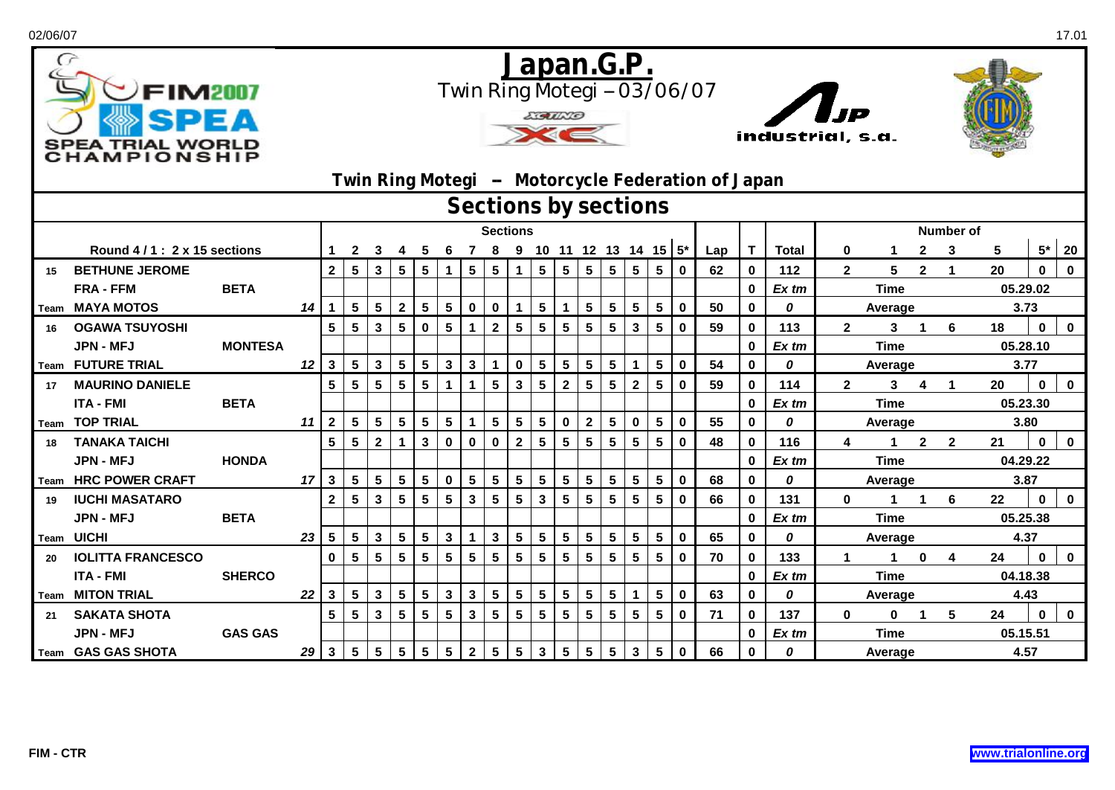| 02/06/07   |                                                       |                |                                                                                                                                                  |                         |                 |                 |                         |                         |                 |                 |                         |                 |                 |                         |                         |                         |                 |                         |                             |     |                   |              |              |                        |                         |                         |                  |             | 17.01        |  |  |
|------------|-------------------------------------------------------|----------------|--------------------------------------------------------------------------------------------------------------------------------------------------|-------------------------|-----------------|-----------------|-------------------------|-------------------------|-----------------|-----------------|-------------------------|-----------------|-----------------|-------------------------|-------------------------|-------------------------|-----------------|-------------------------|-----------------------------|-----|-------------------|--------------|--------------|------------------------|-------------------------|-------------------------|------------------|-------------|--------------|--|--|
| $\sigma$   | FIM2007<br><b>SPEA TRIAL WORLD</b><br><b>AMPIONSH</b> |                | Japan.G.P.<br>Twin Ring Motegi -- 03/06/07<br> <br>IP<br><b>LIGULLO</b><br>industrial, s.a.<br>Twin Ring Motegi - Motorcycle Federation of Japan |                         |                 |                 |                         |                         |                 |                 |                         |                 |                 |                         |                         |                         |                 |                         |                             |     |                   |              |              |                        |                         |                         |                  |             |              |  |  |
|            | Sections by sections<br><b>Number of</b>              |                |                                                                                                                                                  |                         |                 |                 |                         |                         |                 |                 |                         |                 |                 |                         |                         |                         |                 |                         |                             |     |                   |              |              |                        |                         |                         |                  |             |              |  |  |
|            |                                                       |                | <b>Sections</b>                                                                                                                                  |                         |                 |                 |                         |                         |                 |                 |                         |                 |                 |                         |                         |                         |                 |                         |                             |     |                   |              |              |                        |                         |                         |                  |             |              |  |  |
|            | Round 4/1: 2 x 15 sections                            |                |                                                                                                                                                  |                         | $\mathbf{2}$    | 3               | 4                       | 5                       | 6               | $\overline{7}$  |                         |                 |                 |                         |                         |                         |                 |                         | 8 9 10 11 12 13 14 15 $5^*$ | Lap | T                 | <b>Total</b> | 0            | $\mathbf{1}$           | $\mathbf{2}$            | 3                       | 5                | $5*$        | 20           |  |  |
| 15         | <b>BETHUNE JEROME</b>                                 |                |                                                                                                                                                  | $\mathbf{2}$            | $5\phantom{.0}$ | $\mathbf{3}$    | $5\phantom{1}$          | $5\phantom{.0}$         | 1               | $5\phantom{.0}$ | $5\phantom{.0}$         |                 | $5\phantom{a}$  | $5\phantom{.0}$         | $5\phantom{a}$          | $5\phantom{.0}$         | $5\phantom{.0}$ | $\sqrt{5}$              | $\mathbf 0$                 | 62  | 0                 | 112          | $\mathbf{2}$ | 5                      | $\overline{2}$          | $\overline{\mathbf{1}}$ | 20               | $\bf{0}$    | $\bf{0}$     |  |  |
|            | <b>FRA - FFM</b>                                      | <b>BETA</b>    |                                                                                                                                                  |                         |                 |                 |                         |                         |                 |                 |                         |                 |                 |                         |                         |                         |                 |                         |                             |     | 0                 | Ex tm        |              | <b>Time</b>            |                         |                         | 05.29.02<br>3.73 |             |              |  |  |
|            | Team MAYA MOTOS                                       |                | 14                                                                                                                                               | $\mathbf{1}$            | 5 <sub>5</sub>  | 5 <sup>5</sup>  | $\overline{2}$          | $5\phantom{.0}$         | 5 <sup>5</sup>  | $\mathbf 0$     | $\mathbf 0$             | $\mathbf 1$     | $5\phantom{1}$  | $\mathbf{1}$            | $5\phantom{a}$          | $5\phantom{.0}$         | $5\phantom{.0}$ | $\overline{\mathbf{5}}$ | $\mathbf 0$                 | 50  | $\mathbf{0}$      | 0            |              | Average                |                         |                         |                  |             |              |  |  |
| 16         | <b>OGAWA TSUYOSHI</b>                                 |                |                                                                                                                                                  | 5                       | $5\phantom{1}$  | $\mathbf{3}$    | $5\phantom{a}$          | $\mathbf 0$             | $5\phantom{.0}$ | $\mathbf 1$     | $\overline{2}$          | $5\overline{)}$ | $5\phantom{1}$  | $5\phantom{a}$          | $5\phantom{a}$          | $5\phantom{a}$          | $\mathbf{3}$    | $5\phantom{.0}$         | $\mathbf 0$                 | 59  | 0                 | 113          | $\mathbf{2}$ | 3                      | $\mathbf 1$             | 6                       | 18               | $\bf{0}$    | $\mathbf 0$  |  |  |
|            | <b>JPN - MFJ</b>                                      | <b>MONTESA</b> |                                                                                                                                                  |                         |                 |                 |                         |                         |                 |                 |                         |                 |                 |                         |                         |                         |                 |                         |                             |     | 0                 | $Ex$ tm      |              | <b>Time</b>            |                         |                         | 05.28.10         |             |              |  |  |
|            | Team FUTURE TRIAL                                     |                | $12 \mid$                                                                                                                                        | $\mathbf{3}$            | 5 <sub>5</sub>  | $\mathbf{3}$    | $5\phantom{1}$          | $5\phantom{.0}$         | 3               | $\mathbf{3}$    | $\mathbf{1}$            | $\bf{0}$        | $5\phantom{1}$  | $\sqrt{5}$              | 5                       | $\overline{\mathbf{5}}$ | $\mathbf{1}$    | 5                       | $\mathbf{0}$                | 54  | $\mathbf{0}$      | 0            |              | Average                |                         | 3.77                    |                  |             |              |  |  |
| 17         | <b>MAURINO DANIELE</b>                                |                |                                                                                                                                                  | 5                       | $5\phantom{.0}$ | $5\phantom{a}$  | $5\phantom{.0}$         | $5\phantom{a}$          |                 | $\mathbf 1$     | $\overline{\mathbf{5}}$ | $\mathbf{3}$    | $5\phantom{.0}$ | $\mathbf{2}$            | 5                       | $5\phantom{a}$          | $\overline{2}$  | $5\phantom{a}$          | $\mathbf 0$                 | 59  | $\mathbf 0$       | 114          | $\mathbf{2}$ | 3 <sup>1</sup>         | $\overline{\mathbf{4}}$ | $\mathbf{1}$            | 20               | $\bf{0}$    | $\mathbf 0$  |  |  |
|            | <b>ITA - FMI</b>                                      | <b>BETA</b>    |                                                                                                                                                  |                         |                 |                 |                         |                         |                 |                 |                         |                 |                 |                         |                         |                         |                 |                         |                             |     | 0                 | Ex tm        |              | <b>Time</b>            |                         |                         | 05.23.30<br>3.80 |             |              |  |  |
|            | Team TOP TRIAL                                        |                | 11 <sup>1</sup>                                                                                                                                  | $\overline{2}$          | $5\phantom{.0}$ | $5\phantom{.0}$ | $\overline{\mathbf{5}}$ | $5\phantom{.0}$         | 5               | $\mathbf{1}$    | $5\phantom{.0}$         | 5               | $5\phantom{1}$  | $\mathbf 0$             | $\overline{\mathbf{2}}$ | $5\phantom{.0}$         | $\mathbf 0$     | 5                       | $\mathbf{0}$                | 55  | $\bf{0}$          | 0            |              | Average                |                         |                         |                  |             |              |  |  |
| 18         | <b>TANAKA TAICHI</b>                                  | <b>HONDA</b>   |                                                                                                                                                  | $5\overline{)}$         | $5\phantom{.0}$ | $\overline{2}$  | $\mathbf{1}$            | $\mathbf{3}$            | 0               | $\mathbf 0$     | $\mathbf 0$             | $\mathbf{2}$    | $5\phantom{1}$  | $5\phantom{a}$          | $5\phantom{a}$          | $5\phantom{a}$          | $5\phantom{a}$  | $5\phantom{.0}$         | $\mathbf 0$                 | 48  | 0<br>$\mathbf{0}$ | 116          | 4            | $\mathbf 1$            | $\mathbf{2}$            | $\mathbf{2}$            | 21               | $\bf{0}$    | $\mathbf 0$  |  |  |
|            | <b>JPN - MFJ</b><br><b>HRC POWER CRAFT</b>            |                | 17                                                                                                                                               | $\overline{\mathbf{3}}$ | 5 <sub>5</sub>  | $5\phantom{.0}$ | $5\phantom{1}$          | $5\phantom{.0}$         | $\mathbf 0$     | $5\phantom{1}$  | $5\phantom{.0}$         | 5 <sup>5</sup>  | $5\phantom{1}$  | $5\phantom{.0}$         | $5\phantom{a}$          | $5\phantom{.0}$         | $5\phantom{.0}$ | $5\phantom{1}$          | $\bf{0}$                    | 68  | 0                 | Ex tm<br>0   |              | <b>Time</b>            |                         |                         | 04.29.22<br>3.87 |             |              |  |  |
| Team<br>19 | <b>IUCHI MASATARO</b>                                 |                |                                                                                                                                                  | $\mathbf{2}$            | $5\phantom{1}$  | $\mathbf{3}$    | 5                       | $\overline{\mathbf{5}}$ | 5               | $\mathbf{3}$    | $5\phantom{a}$          | 5               | $\mathbf{3}$    | 5                       | 5                       | 5                       | $5\phantom{.0}$ | 5                       | $\mathbf 0$                 | 66  | 0                 | 131          | $\bf{0}$     | Average<br>$\mathbf 1$ | $\mathbf{1}$            | 6                       | 22               | $\mathbf 0$ | $\mathbf 0$  |  |  |
|            | <b>JPN - MFJ</b>                                      | <b>BETA</b>    |                                                                                                                                                  |                         |                 |                 |                         |                         |                 |                 |                         |                 |                 |                         |                         |                         |                 |                         |                             |     | 0                 | Ex tm        |              | <b>Time</b>            |                         |                         | 05.25.38         |             |              |  |  |
|            | <b>Team UICHI</b>                                     |                | 23                                                                                                                                               | $5\phantom{.0}$         | $5\phantom{.0}$ | $\mathbf{3}$    | $\overline{\mathbf{5}}$ | $5\phantom{.0}$         | $\mathbf{3}$    | $\mathbf 1$     | $\mathbf{3}$            | 5 <sup>5</sup>  | $5\phantom{1}$  | $\overline{\mathbf{5}}$ | 5                       | $\overline{\mathbf{5}}$ | $5\phantom{.0}$ | $\overline{\mathbf{5}}$ | $\mathbf 0$                 | 65  | $\bf{0}$          | 0            |              | Average                |                         |                         | 4.37             |             |              |  |  |
| 20         | <b>IOLITTA FRANCESCO</b>                              |                |                                                                                                                                                  | $\mathbf 0$             | $5\phantom{1}$  | $5\phantom{.0}$ | $5\phantom{1}$          | $5\phantom{a}$          | 5               | $5\phantom{1}$  | $5\phantom{a}$          | $5\phantom{a}$  | $5\phantom{.0}$ | $5\phantom{.0}$         | $5\phantom{.0}$         | $5\phantom{a}$          | $5\phantom{.0}$ | $5\phantom{1}$          | $\mathbf 0$                 | 70  | 0                 | 133          | $\mathbf 1$  | $\mathbf 1$            | $\mathbf 0$             | 4                       | 24               | $\bf{0}$    | $\mathbf 0$  |  |  |
|            | <b>ITA - FMI</b>                                      | <b>SHERCO</b>  |                                                                                                                                                  |                         |                 |                 |                         |                         |                 |                 |                         |                 |                 |                         |                         |                         |                 |                         |                             |     | 0                 | Ex tm        |              | <b>Time</b>            |                         |                         | 04.18.38         |             |              |  |  |
|            | <b>Team MITON TRIAL</b>                               |                | 22                                                                                                                                               | $\mathbf{3}$            | 5 <sub>5</sub>  | $\mathbf{3}$    | $5\phantom{1}$          | $\overline{\mathbf{5}}$ | $\mathbf{3}$    | $\mathbf 3$     | $5\phantom{.0}$         | $5\phantom{a}$  | $5\phantom{1}$  | $\overline{\mathbf{5}}$ | 5                       | $\overline{\mathbf{5}}$ | $\mathbf{1}$    | 5                       | $\mathbf 0$                 | 63  | $\mathbf{0}$      | 0            |              | Average                |                         |                         | 4.43             |             |              |  |  |
| 21         | <b>SAKATA SHOTA</b>                                   |                |                                                                                                                                                  | 5                       | $5\phantom{1}$  | $\mathbf{3}$    | $5\phantom{1}$          | $5\phantom{a}$          | 5               | $\mathbf{3}$    | $5\phantom{a}$          | 5               | $5\phantom{.0}$ | $\sqrt{5}$              | 5                       | $5\phantom{1}$          | 5               | 5                       | $\mathbf 0$                 | 71  | 0                 | 137          | $\mathbf{0}$ | 0                      | $\mathbf 1$             | 5                       | 24               | $\bf{0}$    | $\mathbf{0}$ |  |  |
|            | <b>JPN - MFJ</b>                                      | <b>GAS GAS</b> |                                                                                                                                                  |                         |                 |                 |                         |                         |                 |                 |                         |                 |                 |                         |                         |                         |                 |                         |                             |     | 0                 | Ex tm        |              | <b>Time</b>            |                         |                         | 05.15.51         |             |              |  |  |
|            | Team GAS GAS SHOTA                                    |                | 29                                                                                                                                               | $\overline{\mathbf{3}}$ | 5 <sub>5</sub>  | $5\phantom{.0}$ | $5\phantom{1}$          | $5\phantom{.0}$         | 5               | $\overline{2}$  | $\overline{\mathbf{5}}$ | $5\phantom{.0}$ | $\mathbf{3}$    | $\overline{\mathbf{5}}$ | 5                       | $5\phantom{.0}$         | $\mathbf{3}$    | 5                       | $\mathbf 0$                 | 66  | $\bf{0}$          | 0            |              | Average                |                         |                         | 4.57             |             |              |  |  |